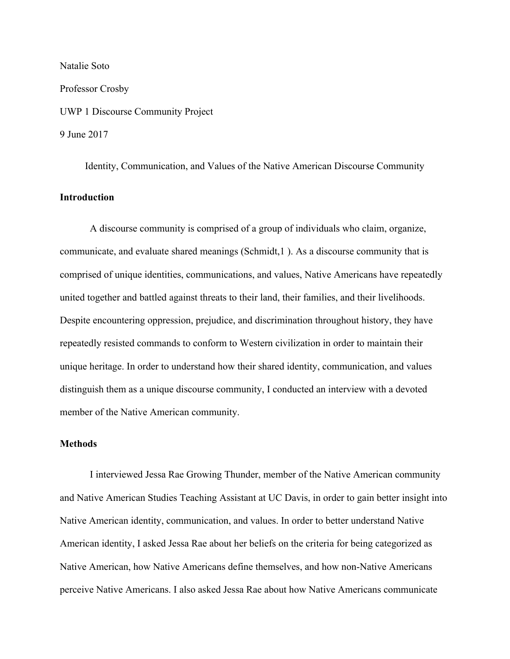Natalie Soto Professor Crosby UWP 1 Discourse Community Project 9 June 2017

Identity, Communication, and Values of the Native American Discourse Community **Introduction**

A discourse community is comprised of a group of individuals who claim, organize, communicate, and evaluate shared meanings (Schmidt,1 ). As a discourse community that is comprised of unique identities, communications, and values, Native Americans have repeatedly united together and battled against threats to their land, their families, and their livelihoods. Despite encountering oppression, prejudice, and discrimination throughout history, they have repeatedly resisted commands to conform to Western civilization in order to maintain their unique heritage. In order to understand how their shared identity, communication, and values distinguish them as a unique discourse community, I conducted an interview with a devoted member of the Native American community.

## **Methods**

I interviewed Jessa Rae Growing Thunder, member of the Native American community and Native American Studies Teaching Assistant at UC Davis, in order to gain better insight into Native American identity, communication, and values. In order to better understand Native American identity, I asked Jessa Rae about her beliefs on the criteria for being categorized as Native American, how Native Americans define themselves, and how non-Native Americans perceive Native Americans. I also asked Jessa Rae about how Native Americans communicate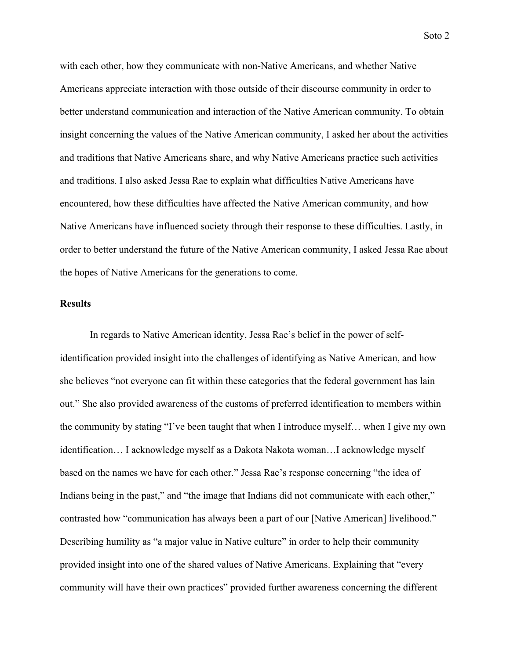with each other, how they communicate with non-Native Americans, and whether Native Americans appreciate interaction with those outside of their discourse community in order to better understand communication and interaction of the Native American community. To obtain insight concerning the values of the Native American community, I asked her about the activities and traditions that Native Americans share, and why Native Americans practice such activities and traditions. I also asked Jessa Rae to explain what difficulties Native Americans have encountered, how these difficulties have affected the Native American community, and how Native Americans have influenced society through their response to these difficulties. Lastly, in order to better understand the future of the Native American community, I asked Jessa Rae about the hopes of Native Americans for the generations to come.

## **Results**

In regards to Native American identity, Jessa Rae's belief in the power of selfidentification provided insight into the challenges of identifying as Native American, and how she believes "not everyone can fit within these categories that the federal government has lain out." She also provided awareness of the customs of preferred identification to members within the community by stating "I've been taught that when I introduce myself… when I give my own identification… I acknowledge myself as a Dakota Nakota woman…I acknowledge myself based on the names we have for each other." Jessa Rae's response concerning "the idea of Indians being in the past," and "the image that Indians did not communicate with each other," contrasted how "communication has always been a part of our [Native American] livelihood." Describing humility as "a major value in Native culture" in order to help their community provided insight into one of the shared values of Native Americans. Explaining that "every community will have their own practices" provided further awareness concerning the different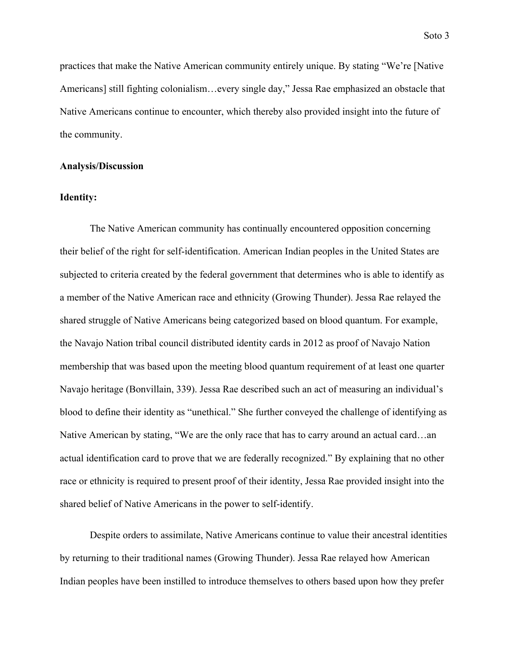practices that make the Native American community entirely unique. By stating "We're [Native Americans] still fighting colonialism…every single day," Jessa Rae emphasized an obstacle that Native Americans continue to encounter, which thereby also provided insight into the future of the community.

### **Analysis/Discussion**

## **Identity:**

The Native American community has continually encountered opposition concerning their belief of the right for self-identification. American Indian peoples in the United States are subjected to criteria created by the federal government that determines who is able to identify as a member of the Native American race and ethnicity (Growing Thunder). Jessa Rae relayed the shared struggle of Native Americans being categorized based on blood quantum. For example, the Navajo Nation tribal council distributed identity cards in 2012 as proof of Navajo Nation membership that was based upon the meeting blood quantum requirement of at least one quarter Navajo heritage (Bonvillain, 339). Jessa Rae described such an act of measuring an individual's blood to define their identity as "unethical." She further conveyed the challenge of identifying as Native American by stating, "We are the only race that has to carry around an actual card…an actual identification card to prove that we are federally recognized." By explaining that no other race or ethnicity is required to present proof of their identity, Jessa Rae provided insight into the shared belief of Native Americans in the power to self-identify.

Despite orders to assimilate, Native Americans continue to value their ancestral identities by returning to their traditional names (Growing Thunder). Jessa Rae relayed how American Indian peoples have been instilled to introduce themselves to others based upon how they prefer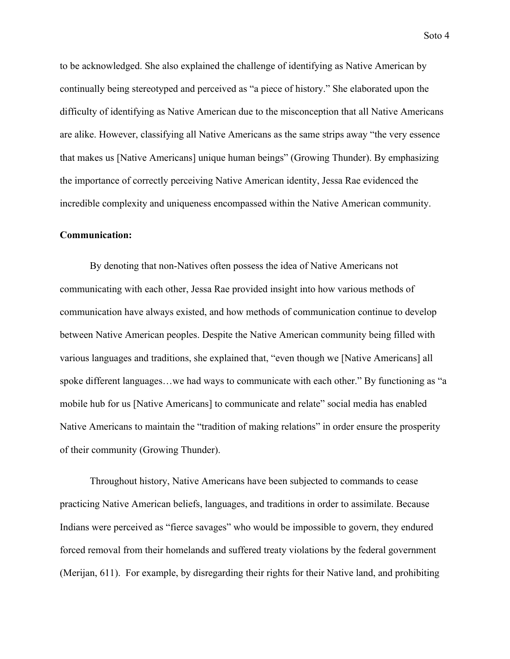to be acknowledged. She also explained the challenge of identifying as Native American by continually being stereotyped and perceived as "a piece of history." She elaborated upon the difficulty of identifying as Native American due to the misconception that all Native Americans are alike. However, classifying all Native Americans as the same strips away "the very essence that makes us [Native Americans] unique human beings" (Growing Thunder). By emphasizing the importance of correctly perceiving Native American identity, Jessa Rae evidenced the incredible complexity and uniqueness encompassed within the Native American community.

## **Communication:**

By denoting that non-Natives often possess the idea of Native Americans not communicating with each other, Jessa Rae provided insight into how various methods of communication have always existed, and how methods of communication continue to develop between Native American peoples. Despite the Native American community being filled with various languages and traditions, she explained that, "even though we [Native Americans] all spoke different languages…we had ways to communicate with each other." By functioning as "a mobile hub for us [Native Americans] to communicate and relate" social media has enabled Native Americans to maintain the "tradition of making relations" in order ensure the prosperity of their community (Growing Thunder).

Throughout history, Native Americans have been subjected to commands to cease practicing Native American beliefs, languages, and traditions in order to assimilate. Because Indians were perceived as "fierce savages" who would be impossible to govern, they endured forced removal from their homelands and suffered treaty violations by the federal government (Merijan, 611). For example, by disregarding their rights for their Native land, and prohibiting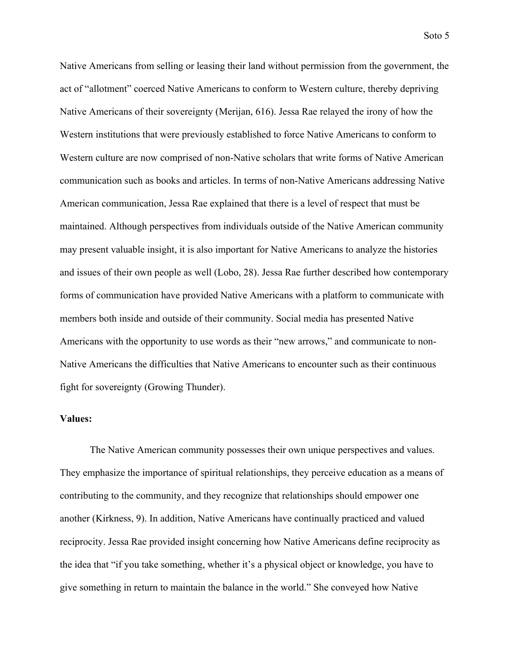Native Americans from selling or leasing their land without permission from the government, the act of "allotment" coerced Native Americans to conform to Western culture, thereby depriving Native Americans of their sovereignty (Merijan, 616). Jessa Rae relayed the irony of how the Western institutions that were previously established to force Native Americans to conform to Western culture are now comprised of non-Native scholars that write forms of Native American communication such as books and articles. In terms of non-Native Americans addressing Native American communication, Jessa Rae explained that there is a level of respect that must be maintained. Although perspectives from individuals outside of the Native American community may present valuable insight, it is also important for Native Americans to analyze the histories and issues of their own people as well (Lobo, 28). Jessa Rae further described how contemporary forms of communication have provided Native Americans with a platform to communicate with members both inside and outside of their community. Social media has presented Native Americans with the opportunity to use words as their "new arrows," and communicate to non-Native Americans the difficulties that Native Americans to encounter such as their continuous fight for sovereignty (Growing Thunder).

### **Values:**

The Native American community possesses their own unique perspectives and values. They emphasize the importance of spiritual relationships, they perceive education as a means of contributing to the community, and they recognize that relationships should empower one another (Kirkness, 9). In addition, Native Americans have continually practiced and valued reciprocity. Jessa Rae provided insight concerning how Native Americans define reciprocity as the idea that "if you take something, whether it's a physical object or knowledge, you have to give something in return to maintain the balance in the world." She conveyed how Native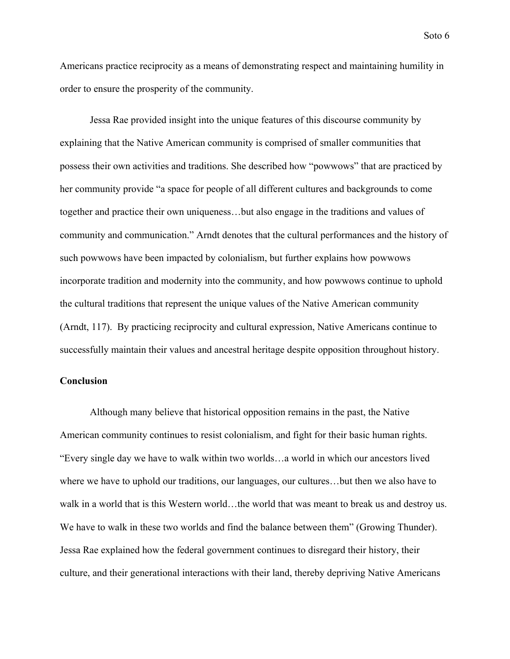Americans practice reciprocity as a means of demonstrating respect and maintaining humility in order to ensure the prosperity of the community.

Jessa Rae provided insight into the unique features of this discourse community by explaining that the Native American community is comprised of smaller communities that possess their own activities and traditions. She described how "powwows" that are practiced by her community provide "a space for people of all different cultures and backgrounds to come together and practice their own uniqueness…but also engage in the traditions and values of community and communication." Arndt denotes that the cultural performances and the history of such powwows have been impacted by colonialism, but further explains how powwows incorporate tradition and modernity into the community, and how powwows continue to uphold the cultural traditions that represent the unique values of the Native American community (Arndt, 117). By practicing reciprocity and cultural expression, Native Americans continue to successfully maintain their values and ancestral heritage despite opposition throughout history.

# **Conclusion**

Although many believe that historical opposition remains in the past, the Native American community continues to resist colonialism, and fight for their basic human rights. "Every single day we have to walk within two worlds…a world in which our ancestors lived where we have to uphold our traditions, our languages, our cultures…but then we also have to walk in a world that is this Western world…the world that was meant to break us and destroy us. We have to walk in these two worlds and find the balance between them" (Growing Thunder). Jessa Rae explained how the federal government continues to disregard their history, their culture, and their generational interactions with their land, thereby depriving Native Americans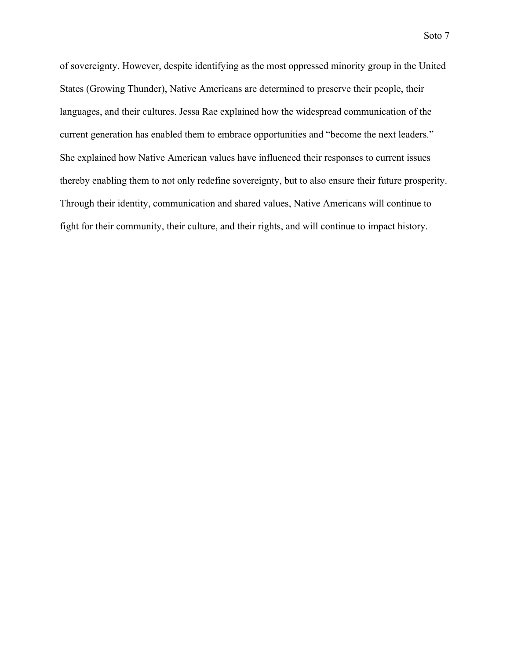of sovereignty. However, despite identifying as the most oppressed minority group in the United States (Growing Thunder), Native Americans are determined to preserve their people, their languages, and their cultures. Jessa Rae explained how the widespread communication of the current generation has enabled them to embrace opportunities and "become the next leaders." She explained how Native American values have influenced their responses to current issues thereby enabling them to not only redefine sovereignty, but to also ensure their future prosperity. Through their identity, communication and shared values, Native Americans will continue to fight for their community, their culture, and their rights, and will continue to impact history.